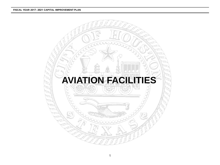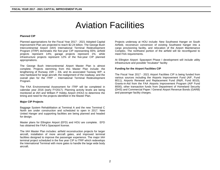# Aviation Facilities

#### **Planned CIP**

Planned appropriations for the Fiscal Year 2017 - 2021 Adopted Capital Improvement Plan are projected to reach \$2.24 billion. The George Bush Intercontinental Airport (IAH) International Terminal Redevelopment Program (ITRP) dominates the five-year CIP representing 65%; airfield projects represent 14%; garage projects represent 1%; while infrastructure projects represent 12% of the five-year CIP planned appropriations.

The George Bush Intercontinental Airport Master Plan is almost complete. Projects stemming from this Master Plan include: the lengthening of Runway 15R – 33L and its associated Taxiway WP; a new hardstand for large aircraft; the realignment of the roadway; and the overall plan for the ITRP – International Terminal Redevelopment Program.

The FAA Environmental Assessment for ITRP will be completed in calendar year 2016 (early FY2017). Planning activity levels are being monitored at IAH and William P Hobby Airport (HOU) to determine the timing and need for the projects identified in the Master Plan.

#### **Major CIP Projects**

Baggage System Rehabilitation at Terminal A and the new Terminal C North are under construction and scheduled to open in 2017. New United Hanger and supporting facilities are being planned and headed for design.

Master plans for Ellington Airport (EFD) and HOU are complete. EFD has obtained the FAA's Spaceport license.

The IAH Master Plan includes: airfield reconstruction projects for larger aircraft, installation of more aircraft gates, and improved terminal facilities designed to improve the passenger experience. The major IAH terminal project scheduled in the five year CIP is ITRP which redevelops the International Terminal with more gates to handle the large wide body aircraft.

Projects underway at HOU include: New Southwest Hanger on South Airfield, reconstruct conversion of existing Southwest hanger into a cargo provisioning facility, and relocation of the Airport Maintenance Complex. The northwest portion of the airfield will be reconfigured to meet FAA requirements.

At Ellington Airport: Spaceport Phase I development will include utility infrastructure and possible "incubator" facility

#### **Funding for the Airport Facilities CIP**

The Fiscal Year 2017 - 2021 Airport Facilities CIP is being funded from various sources including the Airports Improvement Fund (AIF, Fund 8011), Airports Renewal and Replacement Fund (R&R, Fund 8010), Grants-in-Aid from the FAA Airports Improvement Program (AIP Fund 8000), other transaction funds from Department of Homeland Security (DHS) and Commercial Paper / General Airport Revenue Bonds (GARB) and passenger facility charges.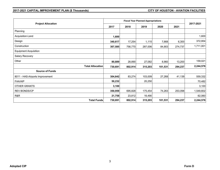# **2017-2021 CAPITAL IMPROVEMENT PLAN (\$ Thousands) CITY OF HOUSTON - AVIATION FACILITIES**

|                                 |                         |         |         | <b>Fiscal Year Planned Appropriations</b> |         | 2017-2021 |           |
|---------------------------------|-------------------------|---------|---------|-------------------------------------------|---------|-----------|-----------|
| <b>Project Allocation</b>       |                         | 2017    | 2018    | 2019                                      | 2020    | 2021      |           |
| Planning                        |                         |         |         |                                           |         |           |           |
| Acquisition-Land                |                         | 1,600   |         |                                           |         |           | 1,600     |
| Design                          |                         | 340,617 | 17,254  | 1,115                                     | 7,668   | 6,300     | 372,954   |
| Construction                    |                         | 307,585 | 756,770 | 287,006                                   | 84,903  | 274,737   | 1,711,001 |
| <b>Equipment Acquisition</b>    |                         |         |         |                                           |         |           |           |
| Salary Recovery                 |                         |         |         |                                           |         |           |           |
| Other                           |                         | 80,889  | 28,890  | 27,082                                    | 8,960   | 13,200    | 159,021   |
|                                 | <b>Total Allocation</b> | 730,691 | 802,914 | 315,203                                   | 101,531 | 294,237   | 2,244,576 |
| <b>Source of Funds</b>          |                         |         |         |                                           |         |           |           |
| 8011 - HAS-Airports Improvement |                         | 304,642 | 83,274  | 103,009                                   | 27,268  | 41,139    | 559,332   |
| <b>FAA/AIP</b>                  |                         | 50,232  |         | 20,250                                    |         |           | 70,482    |
| <b>OTHER GRANTS</b>             |                         | 3,100   |         |                                           |         |           | 3,100     |
| <b>REV BONDS/CP</b>             |                         | 350,959 | 695,828 | 175,454                                   | 74,263  | 253,098   | 1,549,602 |
| R&R                             |                         | 21,758  | 23,812  | 16,490                                    |         |           | 62,060    |
|                                 | <b>Total Funds</b>      | 730,691 | 802,914 | 315,203                                   | 101,531 | 294,237   | 2,244,576 |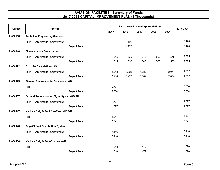| CIP No.  |                                                |       | <b>Fiscal Year Planned Appropriations</b> |       |      | 2017-2021<br>2021<br>2,120<br>2,120<br>2,725<br>560<br>575<br>560<br>575<br>2,725<br>11,302<br>2,074<br>2,074<br>11,302<br>5,704<br>5,704<br>1,797<br>1,797<br>2,941<br>2,941<br>7,416<br>7,416 |     |  |
|----------|------------------------------------------------|-------|-------------------------------------------|-------|------|-------------------------------------------------------------------------------------------------------------------------------------------------------------------------------------------------|-----|--|
|          | Project                                        | 2017  | 2018                                      | 2019  | 2020 |                                                                                                                                                                                                 |     |  |
| A-000138 | <b>Technical Engineering Services</b>          |       |                                           |       |      |                                                                                                                                                                                                 |     |  |
|          | 8011 - HAS-Airports Improvement                |       | 2,120                                     |       |      |                                                                                                                                                                                                 |     |  |
|          | <b>Project Total</b>                           |       | 2,120                                     |       |      |                                                                                                                                                                                                 |     |  |
| A-000348 | <b>Miscellaneous Construction</b>              |       |                                           |       |      |                                                                                                                                                                                                 |     |  |
|          | 8011 - HAS-Airports Improvement                | 515   | 530                                       | 545   |      |                                                                                                                                                                                                 |     |  |
|          | <b>Project Total</b>                           | 515   | 530                                       | 545   |      |                                                                                                                                                                                                 |     |  |
| A-000422 | <b>Civic Art for Aviation-HAS</b>              |       |                                           |       |      |                                                                                                                                                                                                 |     |  |
|          | 8011 - HAS-Airports Improvement                | 2,218 | 5,928                                     | 1,082 |      |                                                                                                                                                                                                 |     |  |
|          | <b>Project Total</b>                           | 2,218 | 5,928                                     | 1,082 |      |                                                                                                                                                                                                 |     |  |
| A-000423 | <b>General Environmental Services - HAS</b>    |       |                                           |       |      |                                                                                                                                                                                                 |     |  |
|          | R&R                                            | 5,704 |                                           |       |      |                                                                                                                                                                                                 |     |  |
|          | <b>Project Total</b>                           | 5,704 |                                           |       |      |                                                                                                                                                                                                 |     |  |
| A-000437 | <b>Ground Transportation Mgmt System-GBIAH</b> |       |                                           |       |      |                                                                                                                                                                                                 |     |  |
|          | 8011 - HAS-Airports Improvement                | 1,797 |                                           |       |      |                                                                                                                                                                                                 |     |  |
|          | <b>Project Total</b>                           | 1,797 |                                           |       |      |                                                                                                                                                                                                 |     |  |
| A-000447 | Various Bldg & Supt Sys-Central FIS-IAH        |       |                                           |       |      |                                                                                                                                                                                                 |     |  |
|          | R&R                                            | 2,941 |                                           |       |      |                                                                                                                                                                                                 |     |  |
|          | <b>Project Total</b>                           | 2,941 |                                           |       |      |                                                                                                                                                                                                 |     |  |
| A-000448 | <b>Cup 480-Volt Distribution System</b>        |       |                                           |       |      |                                                                                                                                                                                                 |     |  |
|          | 8011 - HAS-Airports Improvement                | 7,416 |                                           |       |      |                                                                                                                                                                                                 |     |  |
|          | <b>Project Total</b>                           | 7,416 |                                           |       |      |                                                                                                                                                                                                 |     |  |
| A-000456 | Various Bldg & Supt-Roadways-IAH               |       |                                           |       |      |                                                                                                                                                                                                 |     |  |
|          | R&R                                            | 318   |                                           | 472   |      |                                                                                                                                                                                                 | 790 |  |
|          | <b>Project Total</b>                           | 318   |                                           | 472   |      |                                                                                                                                                                                                 | 790 |  |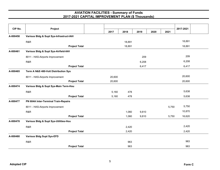|          | CIP No.<br>Project                      |                      |        |        |       |      |       |           |  |
|----------|-----------------------------------------|----------------------|--------|--------|-------|------|-------|-----------|--|
|          |                                         |                      | 2017   | 2018   | 2019  | 2020 | 2021  | 2017-2021 |  |
| A-000458 | Various Bldg & Supt Sys-Infrastruct-IAH |                      |        |        |       |      |       |           |  |
|          | R&R                                     |                      |        | 18,891 |       |      |       | 18,891    |  |
|          |                                         | <b>Project Total</b> |        | 18,891 |       |      |       | 18,891    |  |
| A-000461 | Various Bldg & Supt Sys-Airfield-IAH    |                      |        |        |       |      |       |           |  |
|          | 8011 - HAS-Airports Improvement         |                      |        |        | 209   |      |       | 209       |  |
|          | R&R                                     |                      |        |        | 6,208 |      |       | 6,208     |  |
|          |                                         | <b>Project Total</b> |        |        | 6,417 |      |       | 6,417     |  |
| A-000465 | Term A N&S 480-Volt Distribution Sys    |                      |        |        |       |      |       |           |  |
|          | 8011 - HAS-Airports Improvement         |                      | 20,600 |        |       |      |       | 20,600    |  |
|          |                                         | <b>Project Total</b> | 20,600 |        |       |      |       | 20,600    |  |
| A-000474 | Various Bldg & Supt Sys-Main Term-Hou   |                      |        |        |       |      |       |           |  |
|          | R&R                                     |                      | 5,160  | 478    |       |      |       | 5,638     |  |
|          |                                         | <b>Project Total</b> | 5,160  | 478    |       |      |       | 5,638     |  |
| A-000477 | PN 604A Inter-Terminal Train-Repairs    |                      |        |        |       |      |       |           |  |
|          | 8011 - HAS-Airports Improvement         |                      |        |        |       |      | 5,750 | 5,750     |  |
|          | R&R                                     |                      |        | 1,060  | 9,810 |      |       | 10,870    |  |
|          |                                         | <b>Project Total</b> |        | 1,060  | 9,810 |      | 5,750 | 16,620    |  |
| A-000478 | Various Bldg & Supt Sys-Utilities-Hou   |                      |        |        |       |      |       |           |  |
|          | R&R                                     |                      |        | 2,420  |       |      |       | 2,420     |  |
|          |                                         | <b>Project Total</b> |        | 2,420  |       |      |       | 2,420     |  |
| A-000480 | <b>Various Bldg Supt Sys-EFD</b>        |                      |        |        |       |      |       |           |  |
|          | R&R                                     |                      |        | 963    |       |      |       | 963       |  |
|          |                                         | <b>Project Total</b> |        | 963    |       |      |       | 963       |  |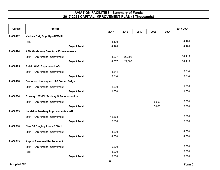| CIP No.  | Project                                      |        |        |      |       |      | 2017-2021 |
|----------|----------------------------------------------|--------|--------|------|-------|------|-----------|
|          |                                              | 2017   | 2018   | 2019 | 2020  | 2021 |           |
| A-000492 | <b>Various Bldg Supt Sys-APM-IAH</b>         |        |        |      |       |      |           |
|          | R&R                                          | 4,120  |        |      |       |      | 4,120     |
|          | <b>Project Total</b>                         | 4,120  |        |      |       |      | 4,120     |
| A-000494 | <b>APM Guide Way Structural Enhancements</b> |        |        |      |       |      |           |
|          | 8011 - HAS-Airports Improvement              | 4,507  | 29,608 |      |       |      | 34,115    |
|          | <b>Project Total</b>                         | 4,507  | 29,608 |      |       |      | 34,115    |
| A-000495 | <b>Public Wi-Fi Expansion-HAS</b>            |        |        |      |       |      |           |
|          | 8011 - HAS-Airports Improvement              | 3,614  |        |      |       |      | 3,614     |
|          | <b>Project Total</b>                         | 3,614  |        |      |       |      | 3,614     |
| A-000498 | <b>Demolish Unoccupied HAS Owned Bldgs</b>   |        |        |      |       |      |           |
|          | 8011 - HAS-Airports Improvement              | 1,030  |        |      |       |      | 1,030     |
|          | <b>Project Total</b>                         | 1,030  |        |      |       |      | 1,030     |
| A-000504 | Runway 12R-30L Taxiway Q Reconstruction      |        |        |      |       |      |           |
|          | 8011 - HAS-Airports Improvement              |        |        |      | 5,600 |      | 5,600     |
|          | <b>Project Total</b>                         |        |        |      | 5,600 |      | 5,600     |
| A-000509 | Landside Roadway Improvements - IAH          |        |        |      |       |      |           |
|          | 8011 - HAS-Airports Improvement              | 12,668 |        |      |       |      | 12,668    |
|          | <b>Project Total</b>                         | 12,668 |        |      |       |      | 12,668    |
| A-000510 | <b>New GT Staging Area - GBIAH</b>           |        |        |      |       |      |           |
|          | 8011 - HAS-Airports Improvement              | 4,000  |        |      |       |      | 4,000     |
|          | <b>Project Total</b>                         | 4,000  |        |      |       |      | 4,000     |
| A-000513 | <b>Airport Pavement Replacement</b>          |        |        |      |       |      |           |
|          | 8011 - HAS-Airports Improvement              | 6,500  |        |      |       |      | 6,500     |
|          | R&R                                          | 3,000  |        |      |       |      | 3,000     |
|          | <b>Project Total</b>                         | 9,500  |        |      |       |      | 9,500     |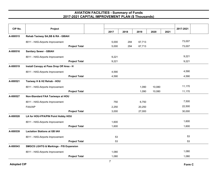| CIP No.  | Project                                           |       |      |        |        |      | 2017-2021 |
|----------|---------------------------------------------------|-------|------|--------|--------|------|-----------|
|          |                                                   | 2017  | 2018 | 2019   | 2020   | 2021 |           |
| A-000515 | Rehab Taxiway SA, SB & RA - GBIAH                 |       |      |        |        |      |           |
|          | 8011 - HAS-Airports Improvement                   | 5,000 | 294  | 67,713 |        |      | 73,007    |
|          | <b>Project Total</b>                              | 5,000 | 294  | 67,713 |        |      | 73,007    |
| A-000516 | <b>Sanitary Sewer - GBIAH</b>                     |       |      |        |        |      |           |
|          | 8011 - HAS-Airports Improvement                   | 9,221 |      |        |        |      | 9,221     |
|          | <b>Project Total</b>                              | 9,221 |      |        |        |      | 9,221     |
| A-000519 | Install Canopy at Pass Drop Off Area - H          |       |      |        |        |      |           |
|          | 8011 - HAS-Airports Improvement                   | 4,590 |      |        |        |      | 4,590     |
|          | <b>Project Total</b>                              | 4,590 |      |        |        |      | 4,590     |
| A-000521 | Taxiway H & H2 Rehab - HOU                        |       |      |        |        |      |           |
|          | 8011 - HAS-Airports Improvement                   |       |      | 1,090  | 10,080 |      | 11,170    |
|          | <b>Project Total</b>                              |       |      | 1,090  | 10,080 |      | 11,170    |
| A-000527 | Non-Standard FAA Taxiways at HOU                  |       |      |        |        |      |           |
|          | 8011 - HAS-Airports Improvement                   | 750   |      | 6,750  |        |      | 7,500     |
|          | <b>FAA/AIP</b>                                    | 2,250 |      | 20,250 |        |      | 22,500    |
|          | <b>Project Total</b>                              | 3,000 |      | 27,000 |        |      | 30,000    |
| A-000528 | LA for HOU-FPA/PIN Point Hobby HOU                |       |      |        |        |      |           |
|          | 8011 - HAS-Airports Improvement                   | 1,600 |      |        |        |      | 1,600     |
|          | <b>Project Total</b>                              | 1,600 |      |        |        |      | 1,600     |
| A-000539 | <b>Lactation Stations at GB IAH</b>               |       |      |        |        |      |           |
|          | 8011 - HAS-Airports Improvement                   | 53    |      |        |        |      | 53        |
|          | <b>Project Total</b>                              | 53    |      |        |        |      | 53        |
| A-000543 | <b>SMGCS LGHTG &amp; Markings - FIS Expansion</b> |       |      |        |        |      |           |
|          | 8011 - HAS-Airports Improvement                   | 1,080 |      |        |        |      | 1,080     |
|          | <b>Project Total</b>                              | 1,080 |      |        |        |      | 1,080     |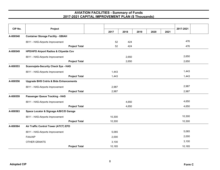| CIP No.  | Project                                           |        |       |      |      |      | 2017-2021 |
|----------|---------------------------------------------------|--------|-------|------|------|------|-----------|
|          |                                                   | 2017   | 2018  | 2019 | 2020 | 2021 |           |
| A-000548 | <b>Container Storage Facility - GBIAH</b>         |        |       |      |      |      |           |
|          | 8011 - HAS-Airports Improvement                   | 52     | 424   |      |      |      | 476       |
|          | <b>Project Total</b>                              | 52     | 424   |      |      |      | 476       |
| A-000549 | <b>HPD/HFD Airport Radios &amp; Citywide Cov</b>  |        |       |      |      |      |           |
|          | 8011 - HAS-Airports Improvement                   |        | 2,650 |      |      |      | 2,650     |
|          | <b>Project Total</b>                              |        | 2,650 |      |      |      | 2,650     |
| A-000553 | <b>Scannojets-Security Check Sys - HAS</b>        |        |       |      |      |      |           |
|          | 8011 - HAS-Airports Improvement                   | 1,443  |       |      |      |      | 1,443     |
|          | <b>Project Total</b>                              | 1,443  |       |      |      |      | 1,443     |
| A-000556 | <b>Upgrade BHS Cntrls &amp; Bids Enhancements</b> |        |       |      |      |      |           |
|          | 8011 - HAS-Airports Improvement                   | 2,987  |       |      |      |      | 2,987     |
|          | <b>Project Total</b>                              | 2,987  |       |      |      |      | 2,987     |
| A-000559 | <b>Passenger Queue Tracking - HAS</b>             |        |       |      |      |      |           |
|          | 8011 - HAS-Airports Improvement                   |        | 4,650 |      |      |      | 4,650     |
|          | <b>Project Total</b>                              |        | 4,650 |      |      |      | 4,650     |
| A-000563 | Space Locator & Signage A/B/C/D Garage            |        |       |      |      |      |           |
|          | 8011 - HAS-Airports Improvement                   | 10,300 |       |      |      |      | 10,300    |
|          | <b>Project Total</b>                              | 10,300 |       |      |      |      | 10,300    |
| A-000564 | Air Traffic Control Tower (ATCT) EFD              |        |       |      |      |      |           |
|          | 8011 - HAS-Airports Improvement                   | 5,065  |       |      |      |      | 5,065     |
|          | FAA/AIP                                           | 2,000  |       |      |      |      | 2,000     |
|          | <b>OTHER GRANTS</b>                               | 3,100  |       |      |      |      | 3,100     |
|          | <b>Project Total</b>                              | 10,165 |       |      |      |      | 10,165    |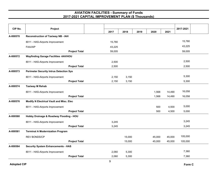| CIP No.  | Project                                        |        |        |      |        |        | 2017-2021 |  |
|----------|------------------------------------------------|--------|--------|------|--------|--------|-----------|--|
|          |                                                | 2017   | 2018   | 2019 | 2020   | 2021   |           |  |
| A-000570 | <b>Reconstruction of Taxiway NB - IAH</b>      |        |        |      |        |        |           |  |
|          | 8011 - HAS-Airports Improvement                | 15,780 |        |      |        |        | 15,780    |  |
|          | FAA/AIP                                        | 43,225 |        |      |        |        | 43,225    |  |
|          | <b>Project Total</b>                           | 59,005 |        |      |        |        | 59,005    |  |
| A-000572 | <b>Wayfinding Garage Facilities -IAH/HOU</b>   |        |        |      |        |        |           |  |
|          | 8011 - HAS-Airports Improvement                | 2,500  |        |      |        |        | 2,500     |  |
|          | <b>Project Total</b>                           | 2,500  |        |      |        |        | 2,500     |  |
| A-000573 | <b>Perimeter Security Intrus Detection Sys</b> |        |        |      |        |        |           |  |
|          | 8011 - HAS-Airports Improvement                | 2,150  | 3,150  |      |        |        | 5,300     |  |
|          | <b>Project Total</b>                           | 2,150  | 3,150  |      |        |        | 5,300     |  |
| A-000574 | <b>Taxiway M Rehab</b>                         |        |        |      |        |        |           |  |
|          | 8011 - HAS-Airports Improvement                |        |        |      | 1,568  | 14,490 | 16,058    |  |
|          | <b>Project Total</b>                           |        |        |      | 1,568  | 14,490 | 16,058    |  |
| A-000576 | Modify N Electrical Vault and Misc. Elec       |        |        |      |        |        |           |  |
|          | 8011 - HAS-Airports Improvement                |        |        |      | 500    | 4,500  | 5,000     |  |
|          | <b>Project Total</b>                           |        |        |      | 500    | 4,500  | 5,000     |  |
| A-000580 | Hobby Drainage & Roadway Flooding - HOU        |        |        |      |        |        |           |  |
|          | 8011 - HAS-Airports Improvement                | 3,245  |        |      |        |        | 3,245     |  |
|          | <b>Project Total</b>                           | 3,245  |        |      |        |        | 3,245     |  |
| A-000581 | <b>Terminal A Modernization Program</b>        |        |        |      |        |        |           |  |
|          | <b>REV BONDS/CP</b>                            |        | 15,000 |      | 45,000 | 45,000 | 105,000   |  |
|          | <b>Project Total</b>                           |        | 15,000 |      | 45,000 | 45,000 | 105,000   |  |
| A-000584 | <b>Security System Enhancements - HAS</b>      |        |        |      |        |        |           |  |
|          | 8011 - HAS-Airports Improvement                | 2,060  | 5,300  |      |        |        | 7,360     |  |
|          | <b>Project Total</b>                           | 2,060  | 5,300  |      |        |        | 7,360     |  |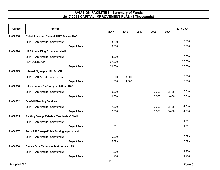| CIP No.  | Project                                         |                      |        |       |      |       |       | 2017-2021 |  |
|----------|-------------------------------------------------|----------------------|--------|-------|------|-------|-------|-----------|--|
|          |                                                 |                      | 2017   | 2018  | 2019 | 2020  | 2021  |           |  |
| A-000590 | <b>Rehabilitate and Expand ARFF Station-HAS</b> |                      |        |       |      |       |       |           |  |
|          | 8011 - HAS-Airports Improvement                 |                      | 3,500  |       |      |       |       | 3,500     |  |
|          |                                                 | <b>Project Total</b> | 3,500  |       |      |       |       | 3,500     |  |
| A-000596 | HAS Admin Bldg Expansion - IAH                  |                      |        |       |      |       |       |           |  |
|          | 8011 - HAS-Airports Improvement                 |                      | 3,000  |       |      |       |       | 3,000     |  |
|          | <b>REV BONDS/CP</b>                             |                      | 27,000 |       |      |       |       | 27,000    |  |
|          |                                                 | <b>Project Total</b> | 30,000 |       |      |       |       | 30,000    |  |
| A-000599 | Internal Signage at IAH & HOU                   |                      |        |       |      |       |       |           |  |
|          | 8011 - HAS-Airports Improvement                 |                      | 500    | 4,500 |      |       |       | 5,000     |  |
|          |                                                 | <b>Project Total</b> | 500    | 4,500 |      |       |       | 5,000     |  |
| A-000600 | <b>Infrastructure Staff Augmentation - HAS</b>  |                      |        |       |      |       |       |           |  |
|          | 8011 - HAS-Airports Improvement                 |                      | 9,000  |       |      | 3,360 | 3,450 | 15,810    |  |
|          |                                                 | <b>Project Total</b> | 9,000  |       |      | 3,360 | 3,450 | 15,810    |  |
| A-000602 | <b>On-Call Planning Services</b>                |                      |        |       |      |       |       |           |  |
|          | 8011 - HAS-Airports Improvement                 |                      | 7,500  |       |      | 3,360 | 3,450 | 14,310    |  |
|          |                                                 | <b>Project Total</b> | 7,500  |       |      | 3,360 | 3,450 | 14,310    |  |
| A-000605 | Parking Garage Rehab at Terminals -GBIAH        |                      |        |       |      |       |       |           |  |
|          | 8011 - HAS-Airports Improvement                 |                      | 1,391  |       |      |       |       | 1,391     |  |
|          |                                                 | <b>Project Total</b> | 1,391  |       |      |       |       | 1,391     |  |
| A-000607 | Term A/B Garage-PublicParking Improvment        |                      |        |       |      |       |       |           |  |
|          | 8011 - HAS-Airports Improvement                 |                      | 5,099  |       |      |       |       | 5,099     |  |
|          |                                                 | <b>Project Total</b> | 5,099  |       |      |       |       | 5,099     |  |
| A-000608 | <b>Smiley Face Tablets in Restrooms - HAS</b>   |                      |        |       |      |       |       |           |  |
|          | 8011 - HAS-Airports Improvement                 |                      | 1,200  |       |      |       |       | 1,200     |  |
|          |                                                 | <b>Project Total</b> | 1,200  |       |      |       |       | 1,200     |  |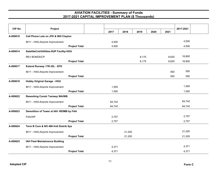| CIP No.  | Project                                  |                      |        |        |       |      |       | 2017-2021 |  |
|----------|------------------------------------------|----------------------|--------|--------|-------|------|-------|-----------|--|
|          |                                          |                      | 2017   | 2018   | 2019  | 2020 | 2021  |           |  |
| A-000610 | Cell Phone Lots on JFK & Will Clayton    |                      |        |        |       |      |       |           |  |
|          | 8011 - HAS-Airports Improvement          |                      | 4,500  |        |       |      |       | 4,500     |  |
|          |                                          | <b>Project Total</b> | 4,500  |        |       |      |       | 4,500     |  |
| A-000614 | SatelliteCntrlUtilities-SUP Facility-HOU |                      |        |        |       |      |       |           |  |
|          | <b>REV BONDS/CP</b>                      |                      |        |        | 8,175 |      | 8,625 | 16,800    |  |
|          |                                          | <b>Project Total</b> |        |        | 8,175 |      | 8,625 | 16,800    |  |
| A-000617 | Extend Runway 17R-35L - EFD              |                      |        |        |       |      |       |           |  |
|          | 8011 - HAS-Airports Improvement          |                      |        |        |       |      | 550   | 550       |  |
|          |                                          | <b>Project Total</b> |        |        |       |      | 550   | 550       |  |
| A-000618 | <b>Hobby Original Garage - HOU</b>       |                      |        |        |       |      |       |           |  |
|          | 8011 - HAS-Airports Improvement          |                      | 1,500  |        |       |      |       | 1,500     |  |
|          |                                          | <b>Project Total</b> | 1,500  |        |       |      |       | 1,500     |  |
| A-000622 | <b>Reworking Constr Taxiway WA/WB</b>    |                      |        |        |       |      |       |           |  |
|          | 8011 - HAS-Airports Improvement          |                      | 64,742 |        |       |      |       | 64,742    |  |
|          |                                          | <b>Project Total</b> | 64,742 |        |       |      |       | 64,742    |  |
| A-000623 | Demolition of Tower at IAH -REIMB by FAA |                      |        |        |       |      |       |           |  |
|          | FAA/AIP                                  |                      | 2,757  |        |       |      |       | 2,757     |  |
|          |                                          | <b>Project Total</b> | 2,757  |        |       |      |       | 2,757     |  |
| A-000624 | Term B Core & NO 480-Volt Distrib Sys    |                      |        |        |       |      |       |           |  |
|          | 8011 - HAS-Airports Improvement          |                      |        | 21,200 |       |      |       | 21,200    |  |
|          |                                          | <b>Project Total</b> |        | 21,200 |       |      |       | 21,200    |  |
| A-000625 | IAH Fleet Maintainence Building          |                      |        |        |       |      |       |           |  |
|          | 8011 - HAS-Airports Improvement          |                      | 4,371  |        |       |      |       | 4,371     |  |
|          |                                          | <b>Project Total</b> | 4,371  |        |       |      |       | 4,371     |  |

11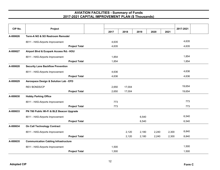| CIP No.  | Project                                     |       |        |       |       |       | 2017-2021 |  |
|----------|---------------------------------------------|-------|--------|-------|-------|-------|-----------|--|
|          |                                             | 2017  | 2018   | 2019  | 2020  | 2021  |           |  |
| A-000626 | Term-A NO & SO Restroom Remodel             |       |        |       |       |       |           |  |
|          | 8011 - HAS-Airports Improvement             | 4,635 |        |       |       |       | 4,635     |  |
|          | <b>Project Total</b>                        | 4,635 |        |       |       |       | 4,635     |  |
| A-000627 | Airport Blvd & Ecopark Access Rd.- HOU      |       |        |       |       |       |           |  |
|          | 8011 - HAS-Airports Improvement             | 1,854 |        |       |       |       | 1,854     |  |
|          | <b>Project Total</b>                        | 1,854 |        |       |       |       | 1,854     |  |
| A-000628 | <b>Security Lane Backflow Prevention</b>    |       |        |       |       |       |           |  |
|          | 8011 - HAS-Airports Improvement             | 4,636 |        |       |       |       | 4,636     |  |
|          | <b>Project Total</b>                        | 4,636 |        |       |       |       | 4,636     |  |
| A-000629 | Aerospace Design & Solution Lab - EFD       |       |        |       |       |       |           |  |
|          | <b>REV BONDS/CP</b>                         | 2,650 | 17,004 |       |       |       | 19,654    |  |
|          | <b>Project Total</b>                        | 2,650 | 17,004 |       |       |       | 19,654    |  |
| A-000630 | <b>Hobby Parking Office</b>                 |       |        |       |       |       |           |  |
|          | 8011 - HAS-Airports Improvement             | 773   |        |       |       |       | 773       |  |
|          | <b>Project Total</b>                        | 773   |        |       |       |       | 773       |  |
| A-000633 | PN 780 Public Wi-Fi & BLE Beacon Upgrade    |       |        |       |       |       |           |  |
|          | 8011 - HAS-Airports Improvement             |       |        | 6,540 |       |       | 6,540     |  |
|          | <b>Project Total</b>                        |       |        | 6,540 |       |       | 6,540     |  |
| A-000634 | <b>On Call Technology Contract</b>          |       |        |       |       |       |           |  |
|          | 8011 - HAS-Airports Improvement             |       | 2,120  | 2,180 | 2,240 | 2,300 | 8,840     |  |
|          | <b>Project Total</b>                        |       | 2,120  | 2,180 | 2,240 | 2,300 | 8,840     |  |
| A-000635 | <b>Communication Cabling Infrastructure</b> |       |        |       |       |       |           |  |
|          | 8011 - HAS-Airports Improvement             | 1,500 |        |       |       |       | 1,500     |  |
|          | <b>Project Total</b>                        | 1,500 |        |       |       |       | 1,500     |  |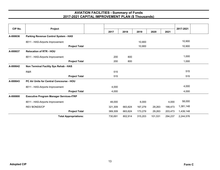| CIP No.  | Project                                         |         |         |         |         |         | 2017-2021 |  |
|----------|-------------------------------------------------|---------|---------|---------|---------|---------|-----------|--|
|          |                                                 | 2017    | 2018    | 2019    | 2020    | 2021    |           |  |
| A-000636 | Parking Revenue Control System - HAS            |         |         |         |         |         |           |  |
|          | 8011 - HAS-Airports Improvement                 |         |         | 10,900  |         |         | 10,900    |  |
|          | <b>Project Total</b>                            |         |         | 10,900  |         |         | 10,900    |  |
| A-000637 | <b>Relocation of RTR - HOU</b>                  |         |         |         |         |         |           |  |
|          | 8011 - HAS-Airports Improvement                 | 200     | 800     |         |         |         | 1,000     |  |
|          | <b>Project Total</b>                            | 200     | 800     |         |         |         | 1,000     |  |
| A-000642 | Non Terminal Facility Sys Rehab - HAS           |         |         |         |         |         |           |  |
|          | R&R                                             | 515     |         |         |         |         | 515       |  |
|          | <b>Project Total</b>                            | 515     |         |         |         |         | 515       |  |
| A-000643 | <b>PC Air Units for Central Concourse - HOU</b> |         |         |         |         |         |           |  |
|          | 8011 - HAS-Airports Improvement                 | 4,000   |         |         |         |         | 4,000     |  |
|          | <b>Project Total</b>                            | 4,000   |         |         |         |         | 4,000     |  |
| A-000800 | <b>Executive Program Manager Services-ITRP</b>  |         |         |         |         |         |           |  |
|          | 8011 - HAS-Airports Improvement                 | 48,000  |         | 6,000   |         | 4,000   | 58,000    |  |
|          | <b>REV BONDS/CP</b>                             | 321,309 | 663,824 | 167,279 | 29,263  | 199,473 | 1,381,148 |  |
|          | <b>Project Total</b>                            | 369,309 | 663,824 | 173,279 | 29,263  | 203,473 | 1,439,148 |  |
|          | <b>Total Appropriations:</b>                    | 730,691 | 802,914 | 315,203 | 101,531 | 294,237 | 2,244,576 |  |